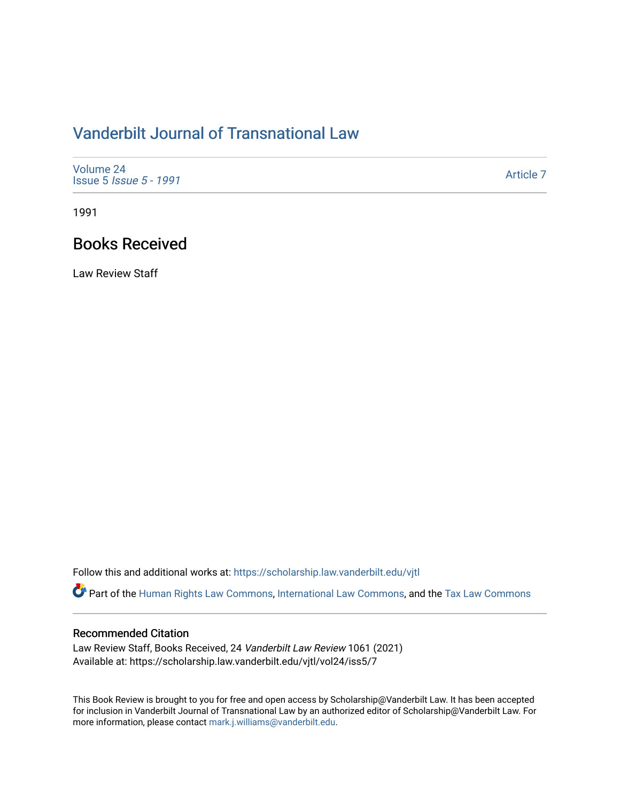## [Vanderbilt Journal of Transnational Law](https://scholarship.law.vanderbilt.edu/vjtl)

| Volume 24<br><b>Issue 5 <i>Issue 5 - 1991</i></b> | Article 7 |
|---------------------------------------------------|-----------|
|---------------------------------------------------|-----------|

1991

## Books Received

Law Review Staff

Follow this and additional works at: [https://scholarship.law.vanderbilt.edu/vjtl](https://scholarship.law.vanderbilt.edu/vjtl?utm_source=scholarship.law.vanderbilt.edu%2Fvjtl%2Fvol24%2Fiss5%2F7&utm_medium=PDF&utm_campaign=PDFCoverPages) 

Part of the [Human Rights Law Commons,](http://network.bepress.com/hgg/discipline/847?utm_source=scholarship.law.vanderbilt.edu%2Fvjtl%2Fvol24%2Fiss5%2F7&utm_medium=PDF&utm_campaign=PDFCoverPages) [International Law Commons](http://network.bepress.com/hgg/discipline/609?utm_source=scholarship.law.vanderbilt.edu%2Fvjtl%2Fvol24%2Fiss5%2F7&utm_medium=PDF&utm_campaign=PDFCoverPages), and the [Tax Law Commons](http://network.bepress.com/hgg/discipline/898?utm_source=scholarship.law.vanderbilt.edu%2Fvjtl%2Fvol24%2Fiss5%2F7&utm_medium=PDF&utm_campaign=PDFCoverPages) 

## Recommended Citation

Law Review Staff, Books Received, 24 Vanderbilt Law Review 1061 (2021) Available at: https://scholarship.law.vanderbilt.edu/vjtl/vol24/iss5/7

This Book Review is brought to you for free and open access by Scholarship@Vanderbilt Law. It has been accepted for inclusion in Vanderbilt Journal of Transnational Law by an authorized editor of Scholarship@Vanderbilt Law. For more information, please contact [mark.j.williams@vanderbilt.edu](mailto:mark.j.williams@vanderbilt.edu).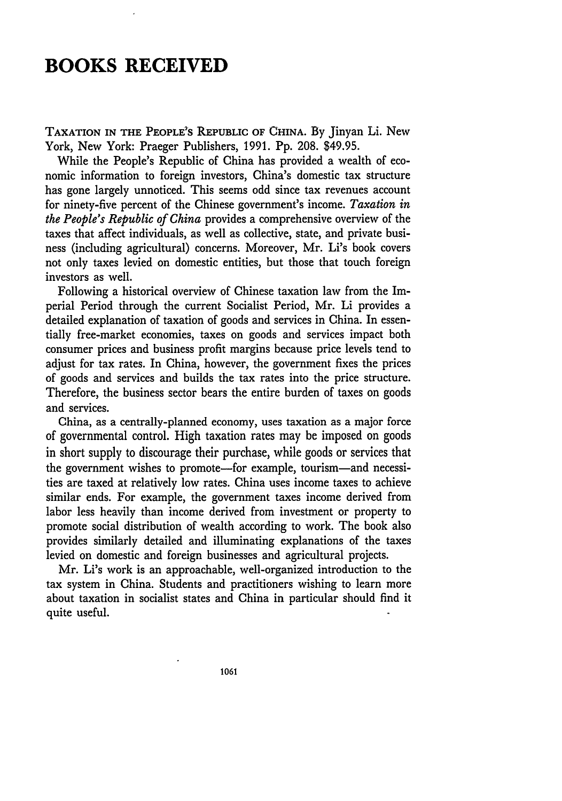## **BOOKS RECEIVED**

**TAXATION IN THE PEOPLE'S REPUBLIC OF CHINA. By** Jinyan Li. New York, New York: Praeger Publishers, 1991. Pp. 208. \$49.95.

While the People's Republic of China has provided a wealth of economic information to foreign investors, China's domestic tax structure has gone largely unnoticed. This seems odd since tax revenues account for ninety-five percent of the Chinese government's income. *Taxation in the People's Republic of China* provides a comprehensive overview of the taxes that affect individuals, as well as collective, state, and private business (including agricultural) concerns. Moreover, Mr. Li's book covers not only taxes levied on domestic entities, but those that touch foreign investors as well.

Following a historical overview of Chinese taxation law from the Imperial Period through the current Socialist Period, Mr. Li provides a detailed explanation of taxation of goods and services in China. In essentially free-market economies, taxes on goods and services impact both consumer prices and business profit margins because price levels tend to adjust for tax rates. In China, however, the government fixes the prices of goods and services and builds the tax rates into the price structure. Therefore, the business sector bears the entire burden of taxes on goods and services.

China, as a centrally-planned economy, uses taxation as a major force of governmental control. High taxation rates may be imposed on goods in short supply to discourage their purchase, while goods or services that the government wishes to promote—for example, tourism—and necessities are taxed at relatively low rates. China uses income taxes to achieve similar ends. For example, the government taxes income derived from labor less heavily than income derived from investment or property to promote social distribution of wealth according to work. The book also provides similarly detailed and illuminating explanations of the taxes levied on domestic and foreign businesses and agricultural projects.

Mr. Li's work is an approachable, well-organized introduction to the tax system in China. Students and practitioners wishing to learn more about taxation in socialist states and China in particular should find it quite useful.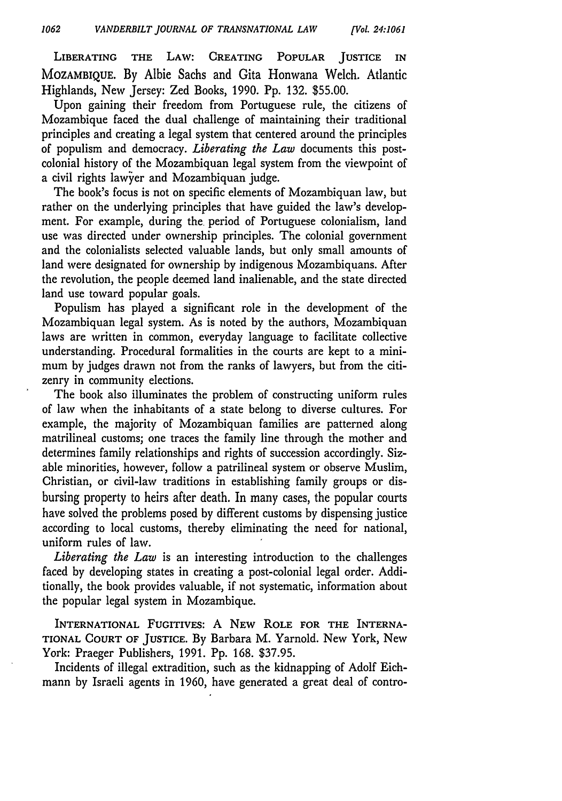LIBERATING **THE** LAW: CREATING POPULAR **JUSTICE IN MOZAMBIQUE. By** Albie Sachs and Gita Honwana Welch. Atlantic Highlands, New Jersey: Zed Books, 1990. Pp. 132. \$55.00.

Upon gaining their freedom from Portuguese rule, the citizens of Mozambique faced the dual challenge of maintaining their traditional principles and creating a legal system that centered around the principles of populism and democracy. *Liberating the Law* documents this postcolonial history of the Mozambiquan legal system from the viewpoint of a civil rights lawier and Mozambiquan judge.

The book's focus is not on specific elements of Mozambiquan law, but rather on the underlying principles that have guided the law's development. For example, during the period of Portuguese colonialism, land use was directed under ownership principles. The colonial government and the colonialists selected valuable lands, but only small amounts of land were designated for ownership by indigenous Mozambiquans. After the revolution, the people deemed land inalienable, and the state directed land use toward popular goals.

Populism has played a significant role in the development of the Mozambiquan legal system. As is noted by the authors, Mozambiquan laws are written in common, everyday language to facilitate collective understanding. Procedural formalities in the courts are kept to a minimum by judges drawn not from the ranks of lawyers, but from the citizenry in community elections.

The book also illuminates the problem of constructing uniform rules of law when the inhabitants of a state belong to diverse cultures. For example, the majority of Mozambiquan families are patterned along matrilineal customs; one traces the family line through the mother and determines family relationships and rights of succession accordingly. Sizable minorities, however, follow a patrilineal system or observe Muslim, Christian, or civil-law traditions in establishing family groups or disbursing property to heirs after death. In many cases, the popular courts have solved the problems posed by different customs by dispensing justice according to local customs, thereby eliminating the need for national, uniform rules of law.

*Liberating the Law* is an interesting introduction to the challenges faced by developing states in creating a post-colonial legal order. Additionally, the book provides valuable, if not systematic, information about the popular legal system in Mozambique.

INTERNATIONAL FUGITIVES: A **NEW ROLE FOR THE** INTERNA-**TIONAL** COURT **OF JUSTICE.** By Barbara M. Yarnold. New York, New York: Praeger Publishers, 1991. Pp. 168. \$37.95.

Incidents of illegal extradition, such as the kidnapping of Adolf Eichmann **by** Israeli agents in 1960, have generated a great deal of contro-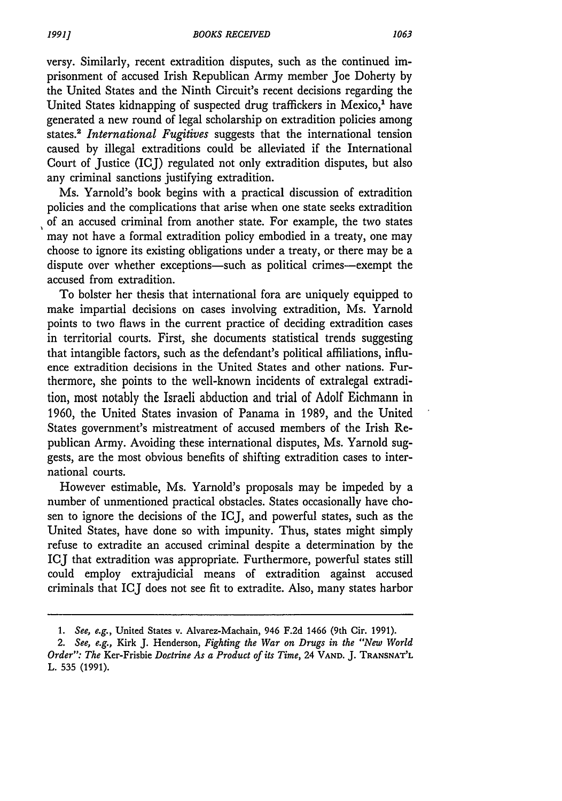versy. Similarly, recent extradition disputes, such as the continued imprisonment of accused Irish Republican Army member Joe Doherty by the United States and the Ninth Circuit's recent decisions regarding the United States kidnapping of suspected drug traffickers in Mexico,' have generated a new round of legal scholarship on extradition policies among states.<sup>2</sup>*International Fugitives* suggests that the international tension caused by illegal extraditions could be alleviated if the International Court of Justice (ICJ) regulated not only extradition disputes, but also any criminal sanctions justifying extradition.

Ms. Yarnold's book begins with a practical discussion of extradition policies and the complications that arise when one state seeks extradition of an accused criminal from another state. For example, the two states may not have a formal extradition policy embodied in a treaty, one may choose to ignore its existing obligations under a treaty, or there may be a dispute over whether exceptions-such as political crimes-exempt the accused from extradition.

To bolster her thesis that international fora are uniquely equipped to make impartial decisions on cases involving extradition, Ms. Yarnold points to two flaws in the current practice of deciding extradition cases in territorial courts. First, she documents statistical trends suggesting that intangible factors, such as the defendant's political affiliations, influence extradition decisions in the United States and other nations. Furthermore, she points to the well-known incidents of extralegal extradition, most notably the Israeli abduction and trial of Adolf Eichmann in 1960, the United States invasion of Panama in 1989, and the United States government's mistreatment of accused members of the Irish Republican Army. Avoiding these international disputes, Ms. Yarnold suggests, are the most obvious benefits of shifting extradition cases to international courts.

However estimable, Ms. Yarnold's proposals may be impeded by a number of unmentioned practical obstacles. States occasionally have chosen to ignore the decisions of the ICJ, and powerful states, such as the United States, have done so with impunity. Thus, states might simply refuse to extradite an accused criminal despite a determination by the ICJ that extradition was appropriate. Furthermore, powerful states still could employ extrajudicial means of extradition against accused criminals that ICJ does not see fit to extradite. Also, many states harbor

*<sup>1.</sup> See, e.g.,* United States v. Alvarez-Machain, 946 F.2d 1466 (9th Cir. 1991).

*<sup>2.</sup> See, e.g.,* Kirk J. Henderson, *Fighting the War on Drugs in the "New World Order": The* Ker-Frisbie *Doctrine As a Product of its Time,* 24 **VAND.** J. **TRANSNAT'L** L. 535 (1991).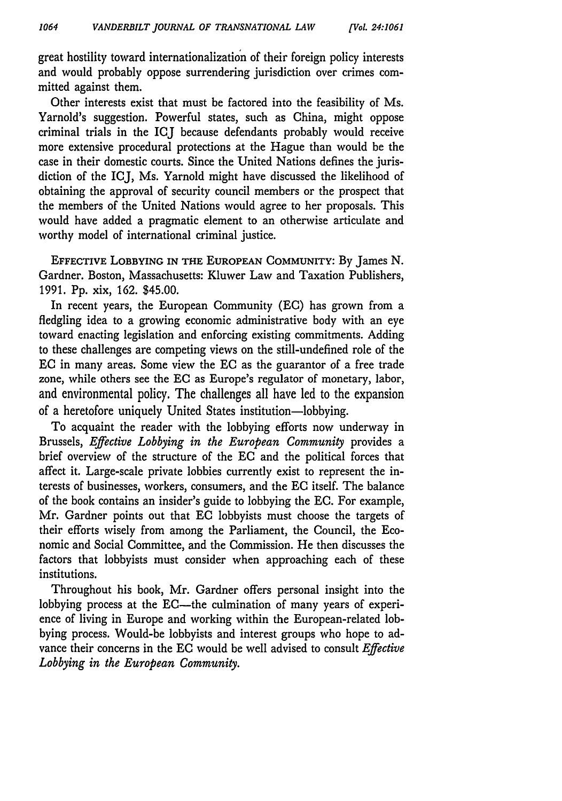great hostility toward internationalization of their foreign policy interests and would probably oppose surrendering jurisdiction over crimes committed against them.

Other interests exist that must be factored into the feasibility of Ms. Yarnold's suggestion. Powerful states, such as China, might oppose criminal trials in the ICJ because defendants probably would receive more extensive procedural protections at the Hague than would be the case in their domestic courts. Since the United Nations defines the jurisdiction of the ICJ, Ms. Yarnold might have discussed the likelihood of obtaining the approval of security council members or the prospect that the members of the United Nations would agree to her proposals. This would have added a pragmatic element to an otherwise articulate and worthy model of international criminal justice.

**EFFECTIVE LOBBYING IN THE EUROPEAN COMMUNITY: By** James **N.** Gardner. Boston, Massachusetts: Kluwer Law and Taxation Publishers, 1991. Pp. xix, 162. \$45.00.

In recent years, the European Community (EC) has grown from a fledgling idea to a growing economic administrative body with an eye toward enacting legislation and enforcing existing commitments. Adding to these challenges are competing views on the still-undefined role of the EC in many areas. Some view the EC as the guarantor of a free trade zone, while others see the **EC** as Europe's regulator of monetary, labor, and environmental policy. The challenges all have led to the expansion of a heretofore uniquely United States institution-lobbying.

To acquaint the reader with the lobbying efforts now underway in Brussels, *Effective Lobbying in the European Community* provides a brief overview of the structure of the EC and the political forces that affect it. Large-scale private lobbies currently exist to represent the interests of businesses, workers, consumers, and the EC itself. The balance of the book contains an insider's guide to lobbying the EC. For example, Mr. Gardner points out that EC lobbyists must choose the targets of their efforts wisely from among the Parliament, the Council, the Economic and Social Committee, and the Commission. He then discusses the factors that lobbyists must consider when approaching each of these institutions.

Throughout his book, Mr. Gardner offers personal insight into the lobbying process at the EC-the culmination of many years of experience of living in Europe and working within the European-related lobbying process. Would-be lobbyists and interest groups who hope to advance their concerns in the EC would be well advised to consult *Effective Lobbying in the European Community.*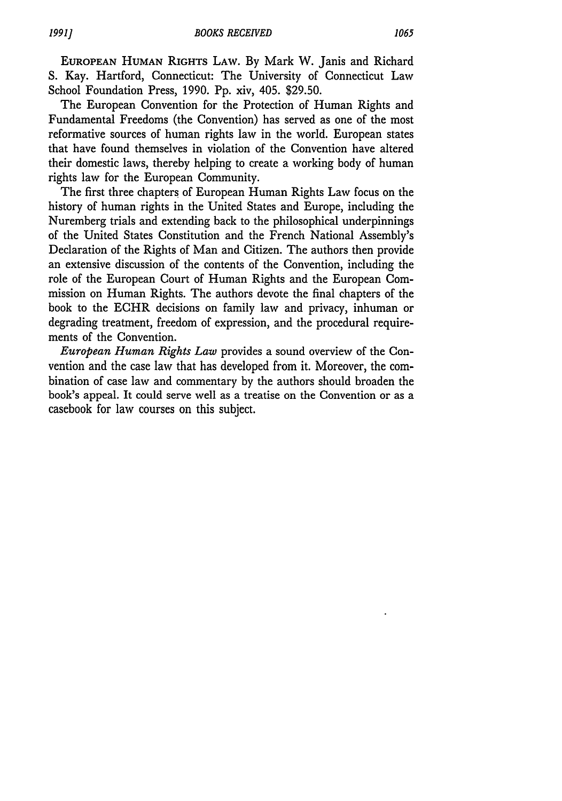**EUROPEAN HUMAN RIGHTS** LAW. By Mark W. Janis and Richard S. Kay. Hartford, Connecticut: The University of Connecticut Law School Foundation Press, 1990. Pp. xiv, 405. \$29.50.

The European Convention for the Protection of Human Rights and Fundamental Freedoms (the Convention) has served as one of the most reformative sources of human rights law in the world. European states that have found themselves in violation of the Convention have altered their domestic laws, thereby helping to create a working body of human rights law for the European Community.

The first three chapters of European Human Rights Law focus on the history of human rights in the United States and Europe, including the Nuremberg trials and extending back to the philosophical underpinnings of the United States Constitution and the French National Assembly's Declaration of the Rights of Man and Citizen. The authors then provide an extensive discussion of the contents of the Convention, including the role of the European Court of Human Rights and the European Commission on Human Rights. The authors devote the final chapters of the book to the ECHR decisions on family law and privacy, inhuman or degrading treatment, freedom of expression, and the procedural requirements of the Convention.

*European Human Rights Law* provides a sound overview of the Convention and the case law that has developed from it. Moreover, the combination of case law and commentary by the authors should broaden the book's appeal. It could serve well as a treatise on the Convention or as a casebook for law courses on this subject.